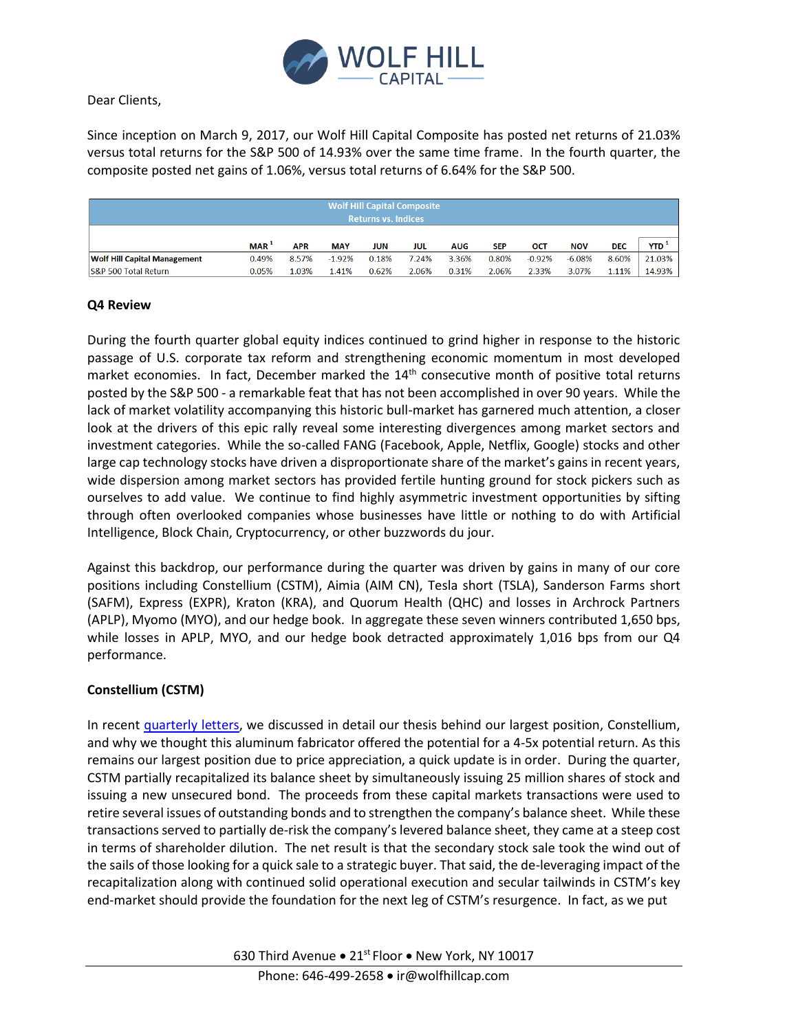

# Dear Clients,

Since inception on March 9, 2017, our Wolf Hill Capital Composite has posted net returns of 21.03% versus total returns for the S&P 500 of 14.93% over the same time frame. In the fourth quarter, the composite posted net gains of 1.06%, versus total returns of 6.64% for the S&P 500.

| <b>Wolf Hill Capital Composite</b><br><b>Returns vs. Indices</b> |                  |            |            |       |       |            |            |          |            |            |            |
|------------------------------------------------------------------|------------------|------------|------------|-------|-------|------------|------------|----------|------------|------------|------------|
|                                                                  | MAR <sup>1</sup> | <b>APR</b> | <b>MAY</b> | JUN   | JUL   | <b>AUG</b> | <b>SEP</b> | OCT      | <b>NOV</b> | <b>DEC</b> | <b>YTD</b> |
| <b>Wolf Hill Capital Management</b>                              | 0.49%            | 8.57%      | $-1.92%$   | 0.18% | 7.24% | 3.36%      | 0.80%      | $-0.92%$ | $-6.08%$   | 8.60%      | 21.03%     |
| S&P 500 Total Return                                             | 0.05%            | 1.03%      | 1.41%      | 0.62% | 2.06% | 0.31%      | 2.06%      | 2.33%    | 3.07%      | 1.11%      | 14.93%     |

# **Q4 Review**

During the fourth quarter global equity indices continued to grind higher in response to the historic passage of U.S. corporate tax reform and strengthening economic momentum in most developed market economies. In fact, December marked the  $14<sup>th</sup>$  consecutive month of positive total returns posted by the S&P 500 - a remarkable feat that has not been accomplished in over 90 years. While the lack of market volatility accompanying this historic bull-market has garnered much attention, a closer look at the drivers of this epic rally reveal some interesting divergences among market sectors and investment categories. While the so-called FANG (Facebook, Apple, Netflix, Google) stocks and other large cap technology stocks have driven a disproportionate share of the market's gains in recent years, wide dispersion among market sectors has provided fertile hunting ground for stock pickers such as ourselves to add value. We continue to find highly asymmetric investment opportunities by sifting through often overlooked companies whose businesses have little or nothing to do with Artificial Intelligence, Block Chain, Cryptocurrency, or other buzzwords du jour.

Against this backdrop, our performance during the quarter was driven by gains in many of our core positions including Constellium (CSTM), Aimia (AIM CN), Tesla short (TSLA), Sanderson Farms short (SAFM), Express (EXPR), Kraton (KRA), and Quorum Health (QHC) and losses in Archrock Partners (APLP), Myomo (MYO), and our hedge book. In aggregate these seven winners contributed 1,650 bps, while losses in APLP, MYO, and our hedge book detracted approximately 1,016 bps from our Q4 performance.

### **Constellium (CSTM)**

In recent [quarterly letters,](http://wolfhill.hedgecowebsites.com/fund_login) we discussed in detail our thesis behind our largest position, Constellium, and why we thought this aluminum fabricator offered the potential for a 4-5x potential return. As this remains our largest position due to price appreciation, a quick update is in order. During the quarter, CSTM partially recapitalized its balance sheet by simultaneously issuing 25 million shares of stock and issuing a new unsecured bond. The proceeds from these capital markets transactions were used to retire several issues of outstanding bonds and to strengthen the company's balance sheet. While these transactions served to partially de-risk the company's levered balance sheet, they came at a steep cost in terms of shareholder dilution. The net result is that the secondary stock sale took the wind out of the sails of those looking for a quick sale to a strategic buyer. That said, the de-leveraging impact of the recapitalization along with continued solid operational execution and secular tailwinds in CSTM's key end-market should provide the foundation for the next leg of CSTM's resurgence. In fact, as we put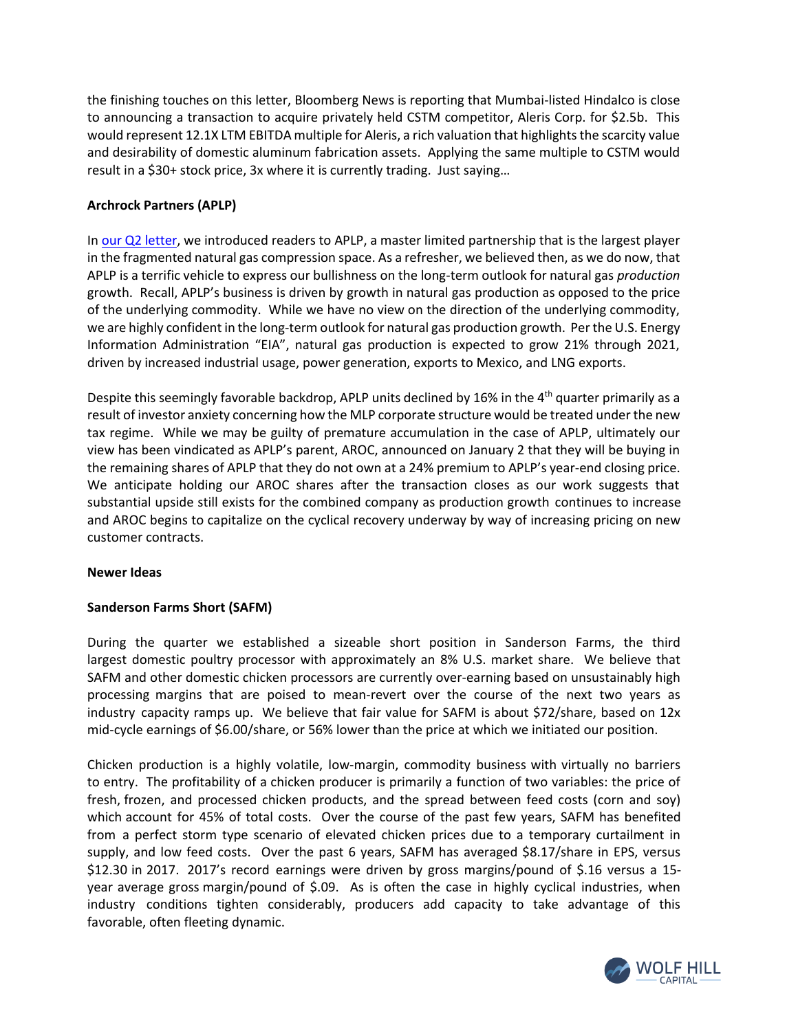the finishing touches on this letter, Bloomberg News is reporting that Mumbai-listed Hindalco is close to announcing a transaction to acquire privately held CSTM competitor, Aleris Corp. for \$2.5b. This would represent 12.1X LTM EBITDA multiple for Aleris, a rich valuation that highlights the scarcity value and desirability of domestic aluminum fabrication assets. Applying the same multiple to CSTM would result in a \$30+ stock price, 3x where it is currently trading. Just saying…

# **Archrock Partners (APLP)**

In [our Q2 letter,](http://wolfhill.hedgecowebsites.com/fund_login) we introduced readers to APLP, a master limited partnership that is the largest player in the fragmented natural gas compression space. As a refresher, we believed then, as we do now, that APLP is a terrific vehicle to express our bullishness on the long-term outlook for natural gas *production*  growth. Recall, APLP's business is driven by growth in natural gas production as opposed to the price of the underlying commodity. While we have no view on the direction of the underlying commodity, we are highly confident in the long-term outlook for natural gas production growth. Per the U.S. Energy Information Administration "EIA", natural gas production is expected to grow 21% through 2021, driven by increased industrial usage, power generation, exports to Mexico, and LNG exports.

Despite this seemingly favorable backdrop, APLP units declined by 16% in the 4<sup>th</sup> quarter primarily as a result of investor anxiety concerning how the MLP corporate structure would be treated under the new tax regime. While we may be guilty of premature accumulation in the case of APLP, ultimately our view has been vindicated as APLP's parent, AROC, announced on January 2 that they will be buying in the remaining shares of APLP that they do not own at a 24% premium to APLP's year-end closing price. We anticipate holding our AROC shares after the transaction closes as our work suggests that substantial upside still exists for the combined company as production growth continues to increase and AROC begins to capitalize on the cyclical recovery underway by way of increasing pricing on new customer contracts.

### **Newer Ideas**

### **Sanderson Farms Short (SAFM)**

During the quarter we established a sizeable short position in Sanderson Farms, the third largest domestic poultry processor with approximately an 8% U.S. market share. We believe that SAFM and other domestic chicken processors are currently over-earning based on unsustainably high processing margins that are poised to mean-revert over the course of the next two years as industry capacity ramps up. We believe that fair value for SAFM is about \$72/share, based on 12x mid-cycle earnings of \$6.00/share, or 56% lower than the price at which we initiated our position.

Chicken production is a highly volatile, low-margin, commodity business with virtually no barriers to entry. The profitability of a chicken producer is primarily a function of two variables: the price of fresh, frozen, and processed chicken products, and the spread between feed costs (corn and soy) which account for 45% of total costs. Over the course of the past few years, SAFM has benefited from a perfect storm type scenario of elevated chicken prices due to a temporary curtailment in supply, and low feed costs. Over the past 6 years, SAFM has averaged \$8.17/share in EPS, versus \$12.30 in 2017. 2017's record earnings were driven by gross margins/pound of \$.16 versus a 15 year average gross margin/pound of \$.09. As is often the case in highly cyclical industries, when industry conditions tighten considerably, producers add capacity to take advantage of this favorable, often fleeting dynamic.

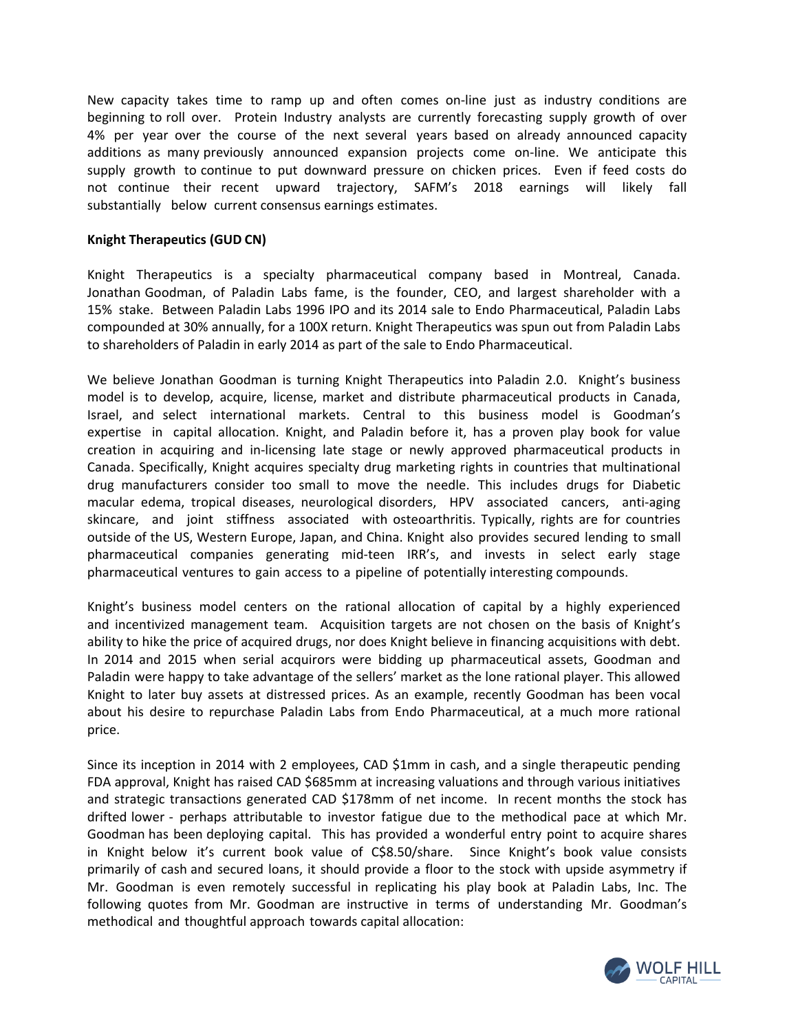New capacity takes time to ramp up and often comes on-line just as industry conditions are beginning to roll over. Protein Industry analysts are currently forecasting supply growth of over 4% per year over the course of the next several years based on already announced capacity additions as many previously announced expansion projects come on-line. We anticipate this supply growth to continue to put downward pressure on chicken prices. Even if feed costs do not continue their recent upward trajectory, SAFM's 2018 earnings will likely fall substantially below current consensus earnings estimates.

#### **Knight Therapeutics (GUD CN)**

Knight Therapeutics is a specialty pharmaceutical company based in Montreal, Canada. Jonathan Goodman, of Paladin Labs fame, is the founder, CEO, and largest shareholder with a 15% stake. Between Paladin Labs 1996 IPO and its 2014 sale to Endo Pharmaceutical, Paladin Labs compounded at 30% annually, for a 100X return. Knight Therapeutics was spun out from Paladin Labs to shareholders of Paladin in early 2014 as part of the sale to Endo Pharmaceutical.

We believe Jonathan Goodman is turning Knight Therapeutics into Paladin 2.0. Knight's business model is to develop, acquire, license, market and distribute pharmaceutical products in Canada, Israel, and select international markets. Central to this business model is Goodman's expertise in capital allocation. Knight, and Paladin before it, has a proven play book for value creation in acquiring and in-licensing late stage or newly approved pharmaceutical products in Canada. Specifically, Knight acquires specialty drug marketing rights in countries that multinational drug manufacturers consider too small to move the needle. This includes drugs for Diabetic macular edema, tropical diseases, neurological disorders, HPV associated cancers, anti-aging skincare, and joint stiffness associated with osteoarthritis. Typically, rights are for countries outside of the US, Western Europe, Japan, and China. Knight also provides secured lending to small pharmaceutical companies generating mid-teen IRR's, and invests in select early stage pharmaceutical ventures to gain access to a pipeline of potentially interesting compounds.

Knight's business model centers on the rational allocation of capital by a highly experienced and incentivized management team. Acquisition targets are not chosen on the basis of Knight's ability to hike the price of acquired drugs, nor does Knight believe in financing acquisitions with debt. In 2014 and 2015 when serial acquirors were bidding up pharmaceutical assets, Goodman and Paladin were happy to take advantage of the sellers' market as the lone rational player. This allowed Knight to later buy assets at distressed prices. As an example, recently Goodman has been vocal about his desire to repurchase Paladin Labs from Endo Pharmaceutical, at a much more rational price.

Since its inception in 2014 with 2 employees, CAD \$1mm in cash, and a single therapeutic pending FDA approval, Knight has raised CAD \$685mm at increasing valuations and through various initiatives and strategic transactions generated CAD \$178mm of net income. In recent months the stock has drifted lower - perhaps attributable to investor fatigue due to the methodical pace at which Mr. Goodman has been deploying capital. This has provided a wonderful entry point to acquire shares in Knight below it's current book value of C\$8.50/share. Since Knight's book value consists primarily of cash and secured loans, it should provide a floor to the stock with upside asymmetry if Mr. Goodman is even remotely successful in replicating his play book at Paladin Labs, Inc. The following quotes from Mr. Goodman are instructive in terms of understanding Mr. Goodman's methodical and thoughtful approach towards capital allocation:

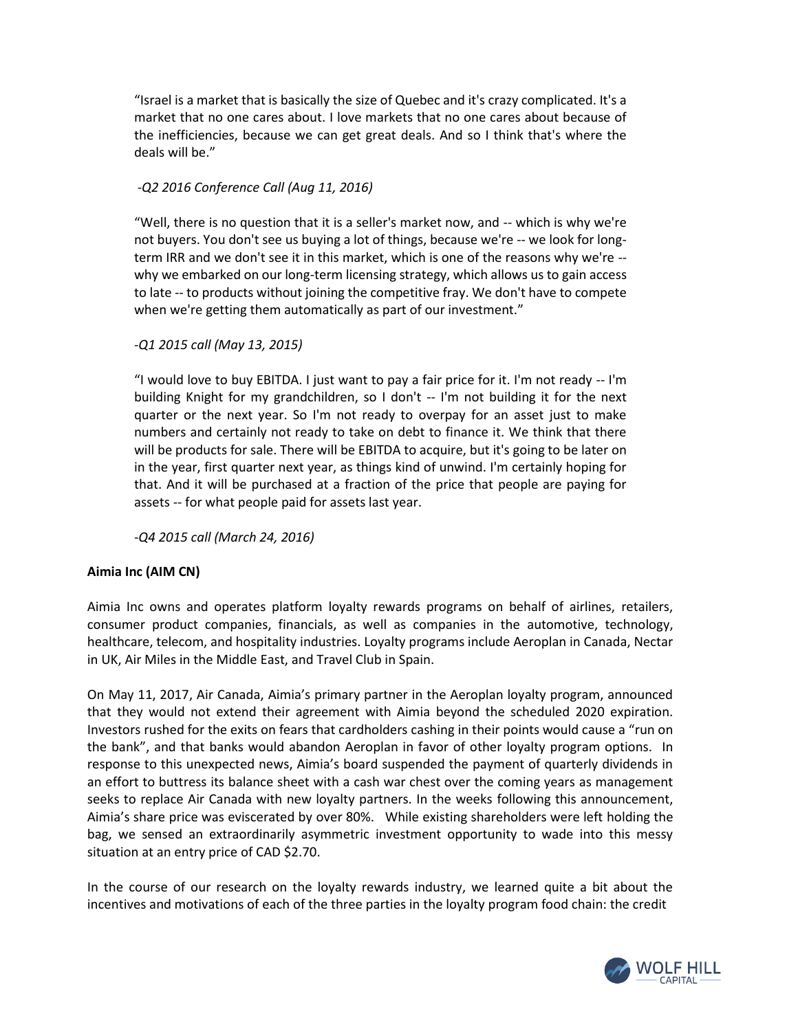"Israel is a market that is basically the size of Quebec and it's crazy complicated. It's a market that no one cares about. I love markets that no one cares about because of the inefficiencies, because we can get great deals. And so I think that's where the deals will be."

# *-Q2 2016 Conference Call (Aug 11, 2016)*

"Well, there is no question that it is a seller's market now, and -- which is why we're not buyers. You don't see us buying a lot of things, because we're -- we look for longterm IRR and we don't see it in this market, which is one of the reasons why we're - why we embarked on our long-term licensing strategy, which allows us to gain access to late -- to products without joining the competitive fray. We don't have to compete when we're getting them automatically as part of our investment."

*-Q1 2015 call (May 13, 2015)*

"I would love to buy EBITDA. I just want to pay a fair price for it. I'm not ready -- I'm building Knight for my grandchildren, so I don't -- I'm not building it for the next quarter or the next year. So I'm not ready to overpay for an asset just to make numbers and certainly not ready to take on debt to finance it. We think that there will be products for sale. There will be EBITDA to acquire, but it's going to be later on in the year, first quarter next year, as things kind of unwind. I'm certainly hoping for that. And it will be purchased at a fraction of the price that people are paying for assets -- for what people paid for assets last year.

*-Q4 2015 call (March 24, 2016)*

### **Aimia Inc (AIM CN)**

Aimia Inc owns and operates platform loyalty rewards programs on behalf of airlines, retailers, consumer product companies, financials, as well as companies in the automotive, technology, healthcare, telecom, and hospitality industries. Loyalty programs include Aeroplan in Canada, Nectar in UK, Air Miles in the Middle East, and Travel Club in Spain.

On May 11, 2017, Air Canada, Aimia's primary partner in the Aeroplan loyalty program, announced that they would not extend their agreement with Aimia beyond the scheduled 2020 expiration. Investors rushed for the exits on fears that cardholders cashing in their points would cause a "run on the bank", and that banks would abandon Aeroplan in favor of other loyalty program options. In response to this unexpected news, Aimia's board suspended the payment of quarterly dividends in an effort to buttress its balance sheet with a cash war chest over the coming years as management seeks to replace Air Canada with new loyalty partners. In the weeks following this announcement, Aimia's share price was eviscerated by over 80%. While existing shareholders were left holding the bag, we sensed an extraordinarily asymmetric investment opportunity to wade into this messy situation at an entry price of CAD \$2.70.

In the course of our research on the loyalty rewards industry, we learned quite a bit about the incentives and motivations of each of the three parties in the loyalty program food chain: the credit

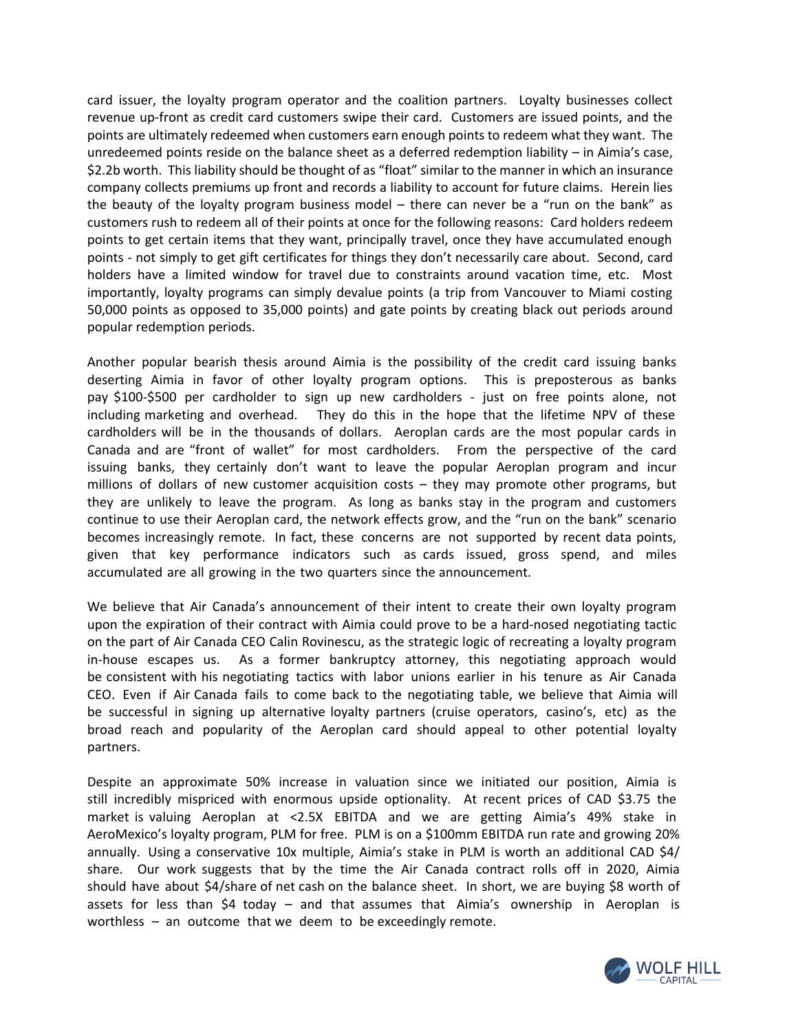card issuer, the loyalty program operator and the coalition partners. Loyalty businesses collect revenue up-front as credit card customers swipe their card. Customers are issued points, and the points are ultimately redeemed when customers earn enough points to redeem what they want. The unredeemed points reside on the balance sheet as a deferred redemption liability – in Aimia's case, \$2.2b worth. This liability should be thought of as "float" similar to the manner in which an insurance company collects premiums up front and records a liability to account for future claims. Herein lies the beauty of the loyalty program business model – there can never be a "run on the bank" as customers rush to redeem all of their points at once for the following reasons: Card holders redeem points to get certain items that they want, principally travel, once they have accumulated enough points - not simply to get gift certificates for things they don't necessarily care about. Second, card holders have a limited window for travel due to constraints around vacation time, etc. Most importantly, loyalty programs can simply devalue points (a trip from Vancouver to Miami costing 50,000 points as opposed to 35,000 points) and gate points by creating black out periods around popular redemption periods.

Another popular bearish thesis around Aimia is the possibility of the credit card issuing banks deserting Aimia in favor of other loyalty program options. This is preposterous as banks pay \$100-\$500 per cardholder to sign up new cardholders - just on free points alone, not including marketing and overhead. They do this in the hope that the lifetime NPV of these cardholders will be in the thousands of dollars. Aeroplan cards are the most popular cards in Canada and are "front of wallet" for most cardholders. From the perspective of the card issuing banks, they certainly don't want to leave the popular Aeroplan program and incur millions of dollars of new customer acquisition costs – they may promote other programs, but they are unlikely to leave the program. As long as banks stay in the program and customers continue to use their Aeroplan card, the network effects grow, and the "run on the bank" scenario becomes increasingly remote. In fact, these concerns are not supported by recent data points, given that key performance indicators such as cards issued, gross spend, and miles accumulated are all growing in the two quarters since the announcement.

We believe that Air Canada's announcement of their intent to create their own loyalty program upon the expiration of their contract with Aimia could prove to be a hard-nosed negotiating tactic on the part of Air Canada CEO Calin Rovinescu, as the strategic logic of recreating a loyalty program in-house escapes us. As a former bankruptcy attorney, this negotiating approach would be consistent with his negotiating tactics with labor unions earlier in his tenure as Air Canada CEO. Even if Air Canada fails to come back to the negotiating table, we believe that Aimia will be successful in signing up alternative loyalty partners (cruise operators, casino's, etc) as the broad reach and popularity of the Aeroplan card should appeal to other potential loyalty partners.

Despite an approximate 50% increase in valuation since we initiated our position, Aimia is still incredibly mispriced with enormous upside optionality. At recent prices of CAD \$3.75 the market is valuing Aeroplan at <2.5X EBITDA and we are getting Aimia's 49% stake in AeroMexico's loyalty program, PLM for free. PLM is on a \$100mm EBITDA run rate and growing 20% annually. Using a conservative 10x multiple, Aimia's stake in PLM is worth an additional CAD \$4/ share. Our work suggests that by the time the Air Canada contract rolls off in 2020, Aimia should have about \$4/share of net cash on the balance sheet. In short, we are buying \$8 worth of assets for less than \$4 today – and that assumes that Aimia's ownership in Aeroplan is worthless – an outcome that we deem to be exceedingly remote.

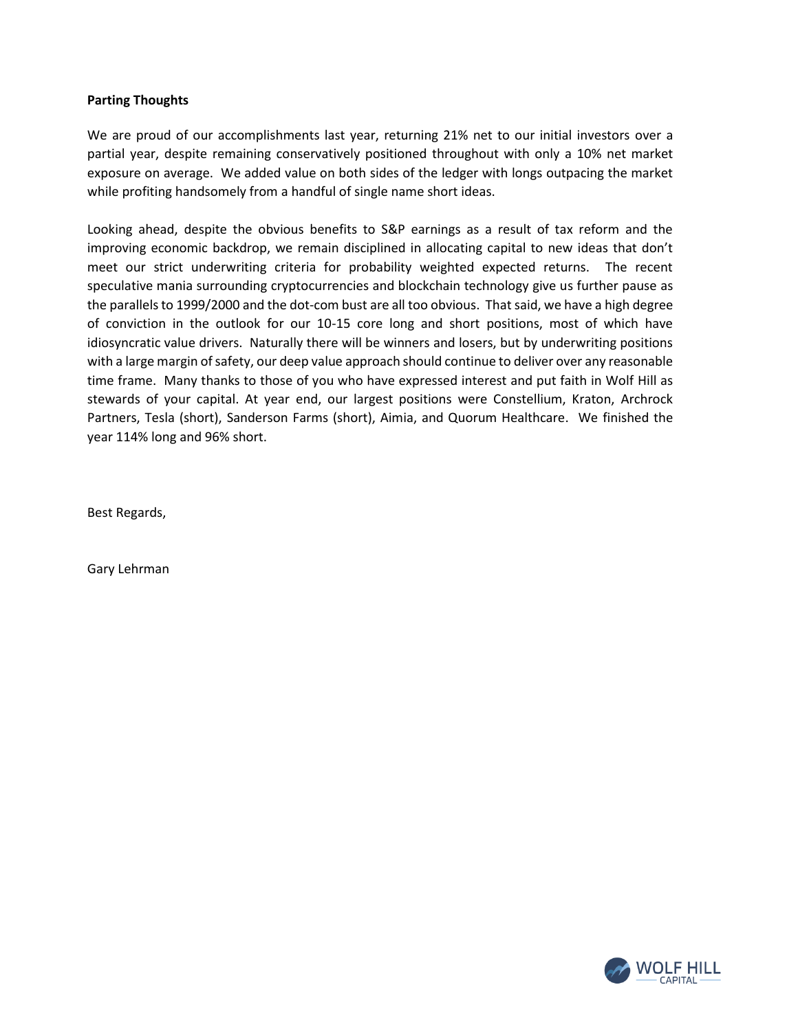### **Parting Thoughts**

We are proud of our accomplishments last year, returning 21% net to our initial investors over a partial year, despite remaining conservatively positioned throughout with only a 10% net market exposure on average. We added value on both sides of the ledger with longs outpacing the market while profiting handsomely from a handful of single name short ideas.

Looking ahead, despite the obvious benefits to S&P earnings as a result of tax reform and the improving economic backdrop, we remain disciplined in allocating capital to new ideas that don't meet our strict underwriting criteria for probability weighted expected returns. The recent speculative mania surrounding cryptocurrencies and blockchain technology give us further pause as the parallels to 1999/2000 and the dot-com bust are all too obvious. That said, we have a high degree of conviction in the outlook for our 10-15 core long and short positions, most of which have idiosyncratic value drivers. Naturally there will be winners and losers, but by underwriting positions with a large margin of safety, our deep value approach should continue to deliver over any reasonable time frame. Many thanks to those of you who have expressed interest and put faith in Wolf Hill as stewards of your capital. At year end, our largest positions were Constellium, Kraton, Archrock Partners, Tesla (short), Sanderson Farms (short), Aimia, and Quorum Healthcare. We finished the year 114% long and 96% short.

Best Regards,

Gary Lehrman